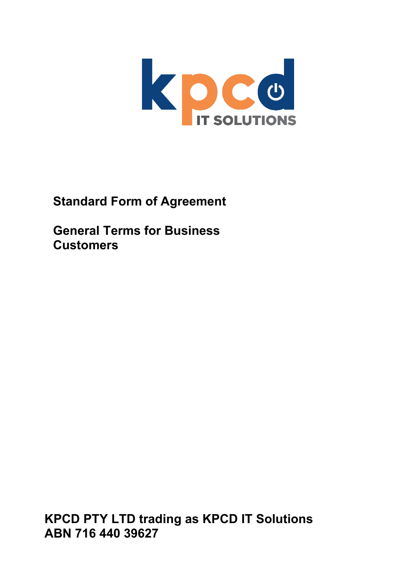

**Standard Form of Agreement**

**General Terms for Business Customers**

**KPCD PTY LTD trading as KPCD IT Solutions ABN 716 440 39627**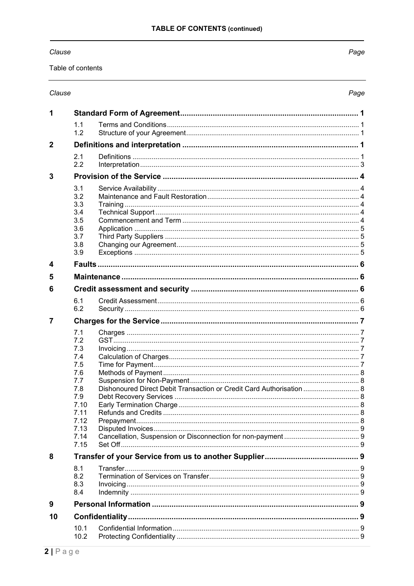# Clause

Table of contents

# Clause

Page

| 1                |              |                                                                        |  |  |  |
|------------------|--------------|------------------------------------------------------------------------|--|--|--|
|                  | 1.1<br>1.2   |                                                                        |  |  |  |
| $\overline{2}$   |              |                                                                        |  |  |  |
|                  | 2.1          |                                                                        |  |  |  |
|                  | 2.2          |                                                                        |  |  |  |
| 3                |              |                                                                        |  |  |  |
|                  | 3.1          |                                                                        |  |  |  |
|                  | 3.2          |                                                                        |  |  |  |
|                  | 3.3          |                                                                        |  |  |  |
|                  | 3.4<br>3.5   |                                                                        |  |  |  |
|                  | 3.6          |                                                                        |  |  |  |
|                  | 3.7          |                                                                        |  |  |  |
|                  | 3.8          |                                                                        |  |  |  |
|                  | 3.9          |                                                                        |  |  |  |
| $\boldsymbol{4}$ |              |                                                                        |  |  |  |
| 5                |              |                                                                        |  |  |  |
| 6                |              |                                                                        |  |  |  |
|                  | 6.1          |                                                                        |  |  |  |
|                  | 6.2          |                                                                        |  |  |  |
| 7                |              |                                                                        |  |  |  |
|                  | 7.1          |                                                                        |  |  |  |
|                  | 7.2          |                                                                        |  |  |  |
|                  | 7.3<br>7.4   |                                                                        |  |  |  |
|                  | 7.5          |                                                                        |  |  |  |
|                  | 7.6          |                                                                        |  |  |  |
|                  | 7.7          |                                                                        |  |  |  |
|                  | 7.8<br>7.9   | Dishonoured Direct Debit Transaction or Credit Card Authorisation  8   |  |  |  |
|                  | 7.10         |                                                                        |  |  |  |
|                  | 7 11         | Refunds and Credits <b>Section</b> Refunds and Credits<br>$\mathsf{R}$ |  |  |  |
|                  | 7.12         |                                                                        |  |  |  |
|                  | 7.13<br>7.14 |                                                                        |  |  |  |
|                  | 7.15         |                                                                        |  |  |  |
| 8                |              |                                                                        |  |  |  |
|                  | 8.1          |                                                                        |  |  |  |
|                  | 8.2          |                                                                        |  |  |  |
|                  | 8.3          |                                                                        |  |  |  |
|                  | 8.4          |                                                                        |  |  |  |
| 9                |              |                                                                        |  |  |  |
| 10               |              |                                                                        |  |  |  |
|                  | 10.1         |                                                                        |  |  |  |
|                  | 10.2         |                                                                        |  |  |  |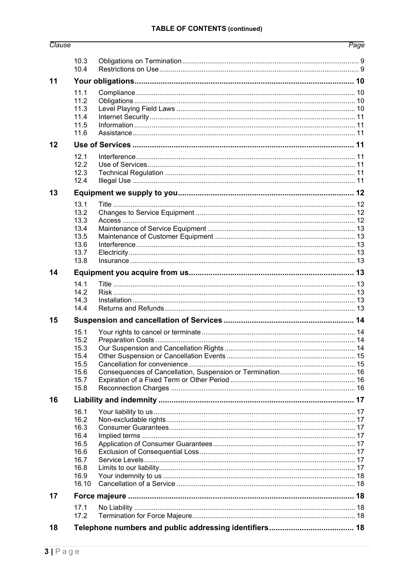# **TABLE OF CONTENTS (continued)**

| Clause |              |  | Page |  |  |
|--------|--------------|--|------|--|--|
|        | 10.3         |  |      |  |  |
|        | 10.4         |  |      |  |  |
| 11     |              |  |      |  |  |
|        | 11.1         |  |      |  |  |
|        | 11.2         |  |      |  |  |
|        | 11.3         |  |      |  |  |
|        | 11.4         |  |      |  |  |
|        | 11.5         |  |      |  |  |
|        | 11.6         |  |      |  |  |
| 12     |              |  |      |  |  |
|        | 12.1         |  |      |  |  |
|        | 12.2<br>12.3 |  |      |  |  |
|        | 12.4         |  |      |  |  |
| 13     |              |  |      |  |  |
|        | 13.1         |  |      |  |  |
|        | 13.2         |  |      |  |  |
|        | 13.3         |  |      |  |  |
|        | 13.4         |  |      |  |  |
|        | 13.5         |  |      |  |  |
|        | 13.6         |  |      |  |  |
|        | 13.7         |  |      |  |  |
|        | 13.8         |  |      |  |  |
| 14     |              |  |      |  |  |
|        | 14.1         |  |      |  |  |
|        | 14.2         |  |      |  |  |
|        | 14.3         |  |      |  |  |
|        | 14.4         |  |      |  |  |
| 15     |              |  |      |  |  |
|        | 15.1         |  |      |  |  |
|        | 15.2         |  |      |  |  |
|        | 15.3<br>15.4 |  |      |  |  |
|        | 15.5         |  |      |  |  |
|        | 15.6         |  |      |  |  |
|        | 15.7         |  |      |  |  |
|        | 15.8         |  |      |  |  |
| 16     |              |  |      |  |  |
|        | 16.1         |  |      |  |  |
|        | 16.2         |  |      |  |  |
|        | 16.3         |  |      |  |  |
|        | 16.4         |  |      |  |  |
|        | 16.5         |  |      |  |  |
|        | 16.6         |  |      |  |  |
|        | 16.7         |  |      |  |  |
|        | 16.8<br>16.9 |  |      |  |  |
|        | 16.10        |  |      |  |  |
| 17     |              |  |      |  |  |
|        |              |  |      |  |  |
|        | 17.1<br>17.2 |  |      |  |  |
|        |              |  |      |  |  |
| 18     |              |  |      |  |  |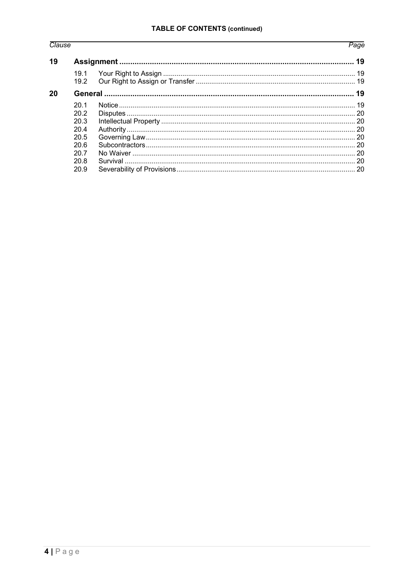# Clause

# Page

| 19.1 |     |  |
|------|-----|--|
|      |     |  |
|      |     |  |
| 201  |     |  |
| 20.2 |     |  |
| 20.3 |     |  |
| 20.4 |     |  |
| 20.5 |     |  |
| 206  |     |  |
| 20.7 |     |  |
| 20.8 |     |  |
| 20.9 |     |  |
|      | 192 |  |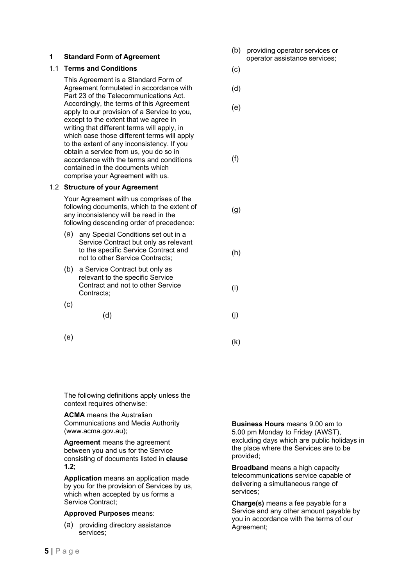# <span id="page-4-0"></span>**1 Standard Form of Agreement**

# <span id="page-4-1"></span>1.1 **Terms and Conditions**

This Agreement is a Standard Form of Agreement formulated in accordance with Part 23 of the Telecommunications Act. Accordingly, the terms of this Agreement apply to our provision of a Service to you, except to the extent that we agree in writing that different terms will apply, in which case those different terms will apply to the extent of any inconsistency. If you obtain a service from us, you do so in accordance with the terms and conditions contained in the documents which comprise your Agreement with us.

# <span id="page-4-2"></span>1.2 **Structure of your Agreement**

Your Agreement with us comprises of the following documents, which to the extent of any inconsistency will be read in the following descending order of precedence:

- (a) any Special Conditions set out in a Service Contract but only as relevant to the specific Service Contract and not to other Service Contracts;
- (b) a Service Contract but only as relevant to the specific Service Contract and not to other Service Contracts;
- $(c)$
- $(d)$

 $(k)$ 

 $(e)$ 

- (b) providing operator services or operator assistance services;
- $(c)$

 $(e)$ 

 $(d)$ 

 $(f)$ 

 $(g)$ 

- $(h)$
- $(i)$
- $(i)$ 
	-

<span id="page-4-4"></span><span id="page-4-3"></span>The following definitions apply unless the context requires otherwise:

**ACMA** means the Australian Communications and Media Authority (www.acma.gov.au);

**Agreement** means the agreement between you and us for the Service consisting of documents listed in **clause 1.2**;

**Application** means an application made by you for the provision of Services by us, which when accepted by us forms a Service Contract;

#### **Approved Purposes** means:

(a) providing directory assistance services;

**Business Hours** means 9.00 am to 5.00 pm Monday to Friday (AWST), excluding days which are public holidays in the place where the Services are to be provided;

**Broadband** means a high capacity telecommunications service capable of delivering a simultaneous range of services;

**Charge(s)** means a fee payable for a Service and any other amount payable by you in accordance with the terms of our Agreement;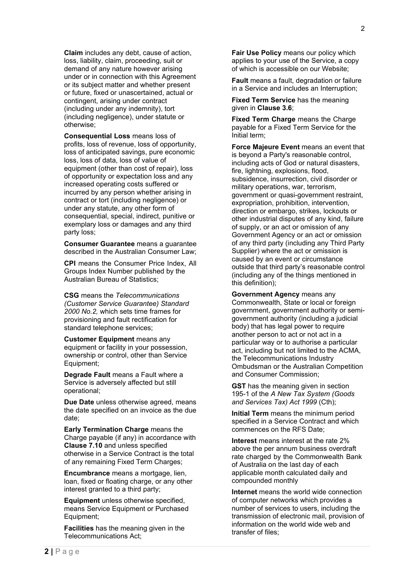**Claim** includes any debt, cause of action, loss, liability, claim, proceeding, suit or demand of any nature however arising under or in connection with this Agreement or its subject matter and whether present or future, fixed or unascertained, actual or contingent, arising under contract (including under any indemnity), tort (including negligence), under statute or otherwise;

**Consequential Loss** means loss of profits, loss of revenue, loss of opportunity, loss of anticipated savings, pure economic loss, loss of data, loss of value of equipment (other than cost of repair), loss of opportunity or expectation loss and any increased operating costs suffered or incurred by any person whether arising in contract or tort (including negligence) or under any statute, any other form of consequential, special, indirect, punitive or exemplary loss or damages and any third party loss;

**Consumer Guarantee** means a guarantee described in the Australian Consumer Law;

**CPI** means the Consumer Price Index, All Groups Index Number published by the Australian Bureau of Statistics;

**CSG** means the *Telecommunications (Customer Service Guarantee) Standard 2000 No.2,* which sets time frames for provisioning and fault rectification for standard telephone services;

**Customer Equipment** means any equipment or facility in your possession, ownership or control, other than Service Equipment;

**Degrade Fault** means a Fault where a Service is adversely affected but still operational;

**Due Date** unless otherwise agreed, means the date specified on an invoice as the due date;

**Early Termination Charge** means the Charge payable (if any) in accordance with **Clause 7.10** and unless specified otherwise in a Service Contract is the total of any remaining Fixed Term Charges;

**Encumbrance** means a mortgage, lien, loan, fixed or floating charge, or any other interest granted to a third party;

**Equipment** unless otherwise specified, means Service Equipment or Purchased Equipment;

**Facilities** has the meaning given in the Telecommunications Act;

**Fair Use Policy** means our policy which applies to your use of the Service, a copy of which is accessible on our Website;

**Fault** means a fault, degradation or failure in a Service and includes an Interruption;

**Fixed Term Service** has the meaning given in **Clause 3.6**;

**Fixed Term Charge** means the Charge payable for a Fixed Term Service for the Initial term;

**Force Majeure Event** means an event that is beyond a Party's reasonable control, including acts of God or natural disasters, fire, lightning, explosions, flood, subsidence, insurrection, civil disorder or military operations, war, terrorism, government or quasi-government restraint, expropriation, prohibition, intervention, direction or embargo, strikes, lockouts or other industrial disputes of any kind, failure of supply, or an act or omission of any Government Agency or an act or omission of any third party (including any Third Party Supplier) where the act or omission is caused by an event or circumstance outside that third party's reasonable control (including any of the things mentioned in this definition);

**Government Agency** means any Commonwealth, State or local or foreign government, government authority or semigovernment authority (including a judicial body) that has legal power to require another person to act or not act in a particular way or to authorise a particular act, including but not limited to the ACMA, the Telecommunications Industry Ombudsman or the Australian Competition and Consumer Commission;

**GST** has the meaning given in section 195-1 of the *A New Tax System (Goods and Services Tax) Act 1999* (Cth);

**Initial Term** means the minimum period specified in a Service Contract and which commences on the RFS Date;

**Interest** means interest at the rate 2% above the per annum business overdraft rate charged by the Commonwealth Bank of Australia on the last day of each applicable month calculated daily and compounded monthly

**Internet** means the world wide connection of computer networks which provides a number of services to users, including the transmission of electronic mail, provision of information on the world wide web and transfer of files;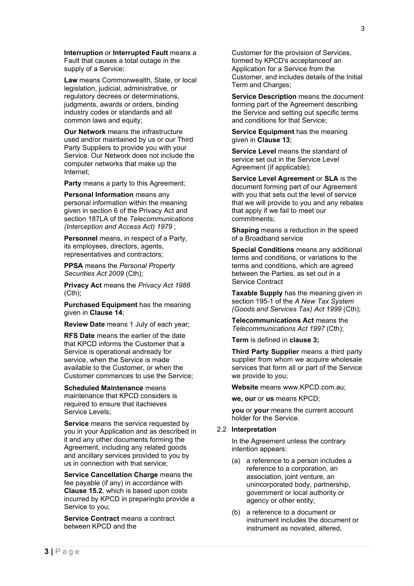**Interruption** or **Interrupted Fault** means a Fault that causes a total outage in the supply of a Service;

**Law** means Commonwealth, State, or local legislation, judicial, administrative, or regulatory decrees or determinations, judgments, awards or orders, binding industry codes or standards and all common laws and equity;

**Our Network** means the infrastructure used and/or maintained by us or our Third Party Suppliers to provide you with your Service. Our Network does not include the computer networks that make up the Internet;

**Party** means a party to this Agreement;

**Personal Information** means any personal information within the meaning given in section 6 of the Privacy Act and section 187LA of the *Telecommunications (Interception and Access Act) 1979* ;

**Personnel** means, in respect of a Party, its employees, directors, agents, representatives and contractors;

**PPSA** means the *Personal Property Securities Act 2009* (Cth);

**Privacy Act** means the *Privacy Act 1988* (Cth);

**Purchased Equipment** has the meaning given in **Clause 14**;

**Review Date** means 1 July of each year;

**RFS Date** means the earlier of the date that KPCD informs the Customer that a Service is operational andready for service, when the Service is made available to the Customer, or when the Customer commences to use the Service;

**Scheduled Maintenance** means maintenance that KPCD considers is required to ensure that itachieves Service Levels;

**Service** means the service requested by you in your Application and as described in it and any other documents forming the Agreement, including any related goods and ancillary services provided to you by us in connection with that service;

**Service Cancellation Charge** means the fee payable (if any) in accordance with **Clause 15.2**, which is based upon costs incurred by KPCD in preparingto provide a Service to you;

**Service Contract** means a contract between KPCD and the

Customer for the provision of Services, formed by KPCD's acceptanceof an Application for a Service from the Customer, and includes details of the Initial Term and Charges;

**Service Description** means the document forming part of the Agreement describing the Service and setting out specific terms and conditions for that Service;

**Service Equipment** has the meaning given in **Clause 13**;

**Service Level** means the standard of service set out in the Service Level Agreement (if applicable);

**Service Level Agreement** or **SLA** is the document forming part of our Agreement with you that sets out the level of service that we will provide to you and any rebates that apply if we fail to meet our commitments;

**Shaping** means a reduction in the speed of a Broadband service

**Special Conditions** means any additional terms and conditions, or variations to the terms and conditions, which are agreed between the Parties, as set out in a Service Contract

**Taxable Supply** has the meaning given in section 195-1 of the *A New Tax System (Goods and Services Tax) Act 1999* (Cth);

**Telecommunications Act** means the *Telecommunications Act 1997* (Cth);

**Term** is defined in **clause 3;**

**Third Party Supplier** means a third party supplier from whom we acquire wholesale services that form all or part of the Service we provide to you;

**Website** means www.KPCD.com.au;

**we, our** or **us** means KPCD;

**you** or **your** means the current account holder for the Service.

#### <span id="page-6-0"></span>2.2 **Interpretation**

In the Agreement unless the contrary intention appears:

- (a) a reference to a person includes a reference to a corporation, an association, joint venture, an unincorporated body, partnership, government or local authority or agency or other entity;
- (b) a reference to a document or instrument includes the document or instrument as novated, altered,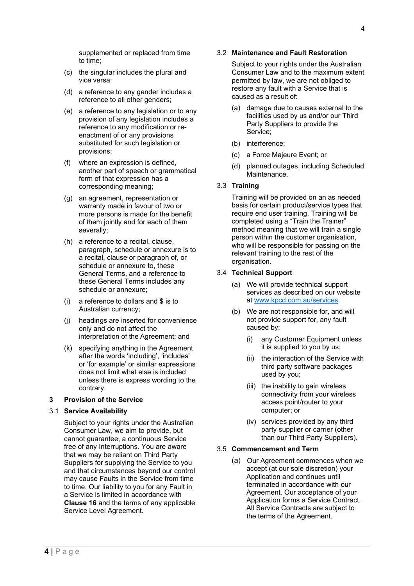supplemented or replaced from time to time;

- (c) the singular includes the plural and vice versa;
- (d) a reference to any gender includes a reference to all other genders;
- (e) a reference to any legislation or to any provision of any legislation includes a reference to any modification or reenactment of or any provisions substituted for such legislation or provisions;
- (f) where an expression is defined, another part of speech or grammatical form of that expression has a corresponding meaning;
- (g) an agreement, representation or warranty made in favour of two or more persons is made for the benefit of them jointly and for each of them severally;
- (h) a reference to a recital, clause, paragraph, schedule or annexure is to a recital, clause or paragraph of, or schedule or annexure to, these General Terms, and a reference to these General Terms includes any schedule or annexure;
- (i) a reference to dollars and \$ is to Australian currency;
- (j) headings are inserted for convenience only and do not affect the interpretation of the Agreement; and
- (k) specifying anything in the Agreement after the words 'including', 'includes' or 'for example' or similar expressions does not limit what else is included unless there is express wording to the contrary.

# <span id="page-7-0"></span>**3 Provision of the Service**

#### <span id="page-7-1"></span>3.1 **Service Availability**

<span id="page-7-2"></span>Subject to your rights under the Australian Consumer Law, we aim to provide, but cannot guarantee, a continuous Service free of any Interruptions. You are aware that we may be reliant on Third Party Suppliers for supplying the Service to you and that circumstances beyond our control may cause Faults in the Service from time to time. Our liability to you for any Fault in a Service is limited in accordance with **Clause 16** and the terms of any applicable Service Level Agreement.

# 3.2 **Maintenance and Fault Restoration**

Subject to your rights under the Australian Consumer Law and to the maximum extent permitted by law, we are not obliged to restore any fault with a Service that is caused as a result of:

- (a) damage due to causes external to the facilities used by us and/or our Third Party Suppliers to provide the Service;
- (b) interference;
- (c) a Force Majeure Event; or
- (d) planned outages, including Scheduled Maintenance.

# <span id="page-7-3"></span>3.3 **Training**

Training will be provided on an as needed basis for certain product/service types that require end user training. Training will be completed using a "Train the Trainer" method meaning that we will train a single person within the customer organisation, who will be responsible for passing on the relevant training to the rest of the organisation.

# <span id="page-7-4"></span>3.4 **Technical Support**

- (a) We will provide technical support services as described on our website at [www.kpcd.com.au/services](http://www.kpcd.com.au/services)
- (b) We are not responsible for, and will not provide support for, any fault caused by:
	- (i) any Customer Equipment unless it is supplied to you by us;
	- (ii) the interaction of the Service with third party software packages used by you;
	- (iii) the inability to gain wireless connectivity from your wireless access point/router to your computer; or
	- (iv) services provided by any third party supplier or carrier (other than our Third Party Suppliers).

# <span id="page-7-5"></span>3.5 **Commencement and Term**

(a) Our Agreement commences when we accept (at our sole discretion) your Application and continues until terminated in accordance with our Agreement. Our acceptance of your Application forms a Service Contract. All Service Contracts are subject to the terms of the Agreement.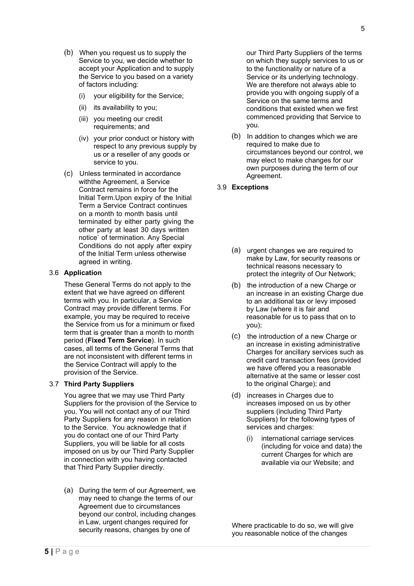5

- When you request us to supply the Service to you, we decide whether to accept your Application and to supply the Service to you based on a variety of factors including:
	- (i) your eligibility for the Service;
	- (ii) its availability to you;
	- (iii) you meeting our credit requirements; and
	- (iv) your prior conduct or history with respect to any previous supply by us or a reseller of any goods or service to you.
- Unless terminated in accordance withthe Agreement, a Service Contract remains in force for the Initial Term.Upon expiry of the Initial Term a Service Contract continues on a month to month basis until terminated by either party giving the other party at least 30 days written notice` of termination. Any Special Conditions do not apply after expiry of the Initial Term unless otherwise agreed in writing.

# <span id="page-8-0"></span>3.6 **Application**

These General Terms do not apply to the extent that we have agreed on different terms with you. In particular, a Service Contract may provide different terms. For example, you may be required to receive the Service from us for a minimum or fixed term that is greater than a month to month period (**Fixed Term Service**). In such cases, all terms of the General Terms that are not inconsistent with different terms in the Service Contract will apply to the provision of the Service.

# <span id="page-8-1"></span>3.7 **Third Party Suppliers**

You agree that we may use Third Party Suppliers for the provision of the Service to you. You will not contact any of our Third Party Suppliers for any reason in relation to the Service. You acknowledge that if you do contact one of our Third Party Suppliers, you will be liable for all costs imposed on us by our Third Party Supplier in connection with you having contacted that Third Party Supplier directly.

<span id="page-8-2"></span>(a) During the term of our Agreement, we may need to change the terms of our Agreement due to circumstances beyond our control, including changes in Law, urgent changes required for security reasons, changes by one of

our Third Party Suppliers of the terms on which they supply services to us or to the functionality or nature of a Service or its underlying technology. We are therefore not always able to provide you with ongoing supply of a Service on the same terms and conditions that existed when we first commenced providing that Service to you.

 $(b)$  In addition to changes which we are required to make due to circumstances beyond our control, we may elect to make changes for our own purposes during the term of our Agreement.

# <span id="page-8-3"></span>3.9 **Exceptions**

- (a) urgent changes we are required to make by Law, for security reasons or technical reasons necessary to protect the integrity of Our Network;
- (b) the introduction of a new Charge or an increase in an existing Charge due to an additional tax or levy imposed by Law (where it is fair and reasonable for us to pass that on to you);
- $(c)$  the introduction of a new Charge or an increase in existing administrative Charges for ancillary services such as credit card transaction fees (provided we have offered you a reasonable alternative at the same or lesser cost to the original Charge); and
- (d) increases in Charges due to increases imposed on us by other suppliers (including Third Party Suppliers) for the following types of services and charges:
	- (i) international carriage services (including for voice and data) the current Charges for which are available via our Website; and

Where practicable to do so, we will give you reasonable notice of the changes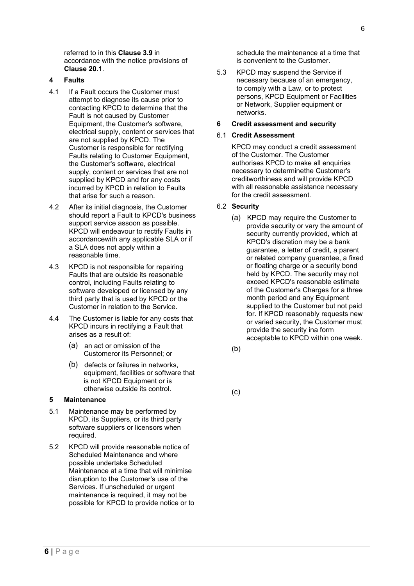referred to in this **Clause 3.9** in accordance with the notice provisions of **Clause 20.1**.

# <span id="page-9-0"></span>**4 Faults**

- 4.1 If a Fault occurs the Customer must attempt to diagnose its cause prior to contacting KPCD to determine that the Fault is not caused by Customer Equipment, the Customer's software, electrical supply, content or services that are not supplied by KPCD. The Customer is responsible for rectifying Faults relating to Customer Equipment, the Customer's software, electrical supply, content or services that are not supplied by KPCD and for any costs incurred by KPCD in relation to Faults that arise for such a reason.
- 4.2 After its initial diagnosis, the Customer should report a Fault to KPCD's business support service assoon as possible. KPCD will endeavour to rectify Faults in accordancewith any applicable SLA or if a SLA does not apply within a reasonable time.
- 4.3 KPCD is not responsible for repairing Faults that are outside its reasonable control, including Faults relating to software developed or licensed by any third party that is used by KPCD or the Customer in relation to the Service.
- 4.4 The Customer is liable for any costs that KPCD incurs in rectifying a Fault that arises as a result of:
	- (a) an act or omission of the Customeror its Personnel; or
	- (b) defects or failures in networks, equipment, facilities or software that is not KPCD Equipment or is otherwise outside its control.

#### <span id="page-9-1"></span>**5 Maintenance**

- 5.1 Maintenance may be performed by KPCD, its Suppliers, or its third party software suppliers or licensors when required.
- 5.2 KPCD will provide reasonable notice of Scheduled Maintenance and where possible undertake Scheduled Maintenance at a time that will minimise disruption to the Customer's use of the Services. If unscheduled or urgent maintenance is required, it may not be possible for KPCD to provide notice or to

schedule the maintenance at a time that is convenient to the Customer.

5.3 KPCD may suspend the Service if necessary because of an emergency, to comply with a Law, or to protect persons, KPCD Equipment or Facilities or Network, Supplier equipment or networks.

# <span id="page-9-2"></span>**6 Credit assessment and security**

# <span id="page-9-3"></span>6.1 **Credit Assessment**

KPCD may conduct a credit assessment of the Customer. The Customer authorises KPCD to make all enquiries necessary to determinethe Customer's creditworthiness and will provide KPCD with all reasonable assistance necessary for the credit assessment.

# <span id="page-9-4"></span>6.2 **Security**

- (a) KPCD may require the Customer to provide security or vary the amount of security currently provided, which at KPCD's discretion may be a bank guarantee, a letter of credit, a parent or related company guarantee, a fixed or floating charge or a security bond held by KPCD. The security may not exceed KPCD's reasonable estimate of the Customer's Charges for a three month period and any Equipment supplied to the Customer but not paid for. If KPCD reasonably requests new or varied security, the Customer must provide the security ina form acceptable to KPCD within one week.
- $(b)$

 $(c)$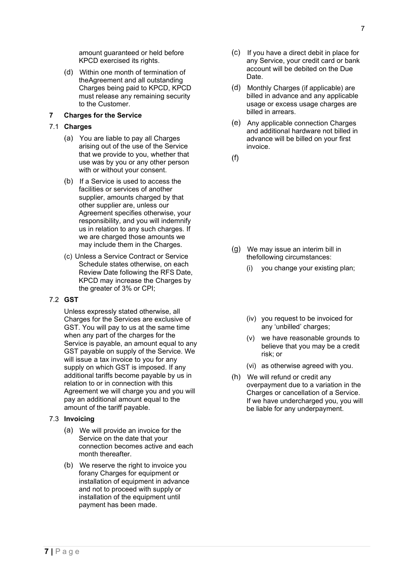amount guaranteed or held before KPCD exercised its rights.

 Within one month of termination of theAgreement and all outstanding Charges being paid to KPCD, KPCD must release any remaining security to the Customer.

# <span id="page-10-0"></span>**7 Charges for the Service**

- <span id="page-10-1"></span>7.1 **Charges**
	- You are liable to pay all Charges arising out of the use of the Service that we provide to you, whether that use was by you or any other person with or without your consent.
	- $(b)$  If a Service is used to access the facilities or services of another supplier, amounts charged by that other supplier are, unless our Agreement specifies otherwise, your responsibility, and you will indemnify us in relation to any such charges. If we are charged those amounts we may include them in the Charges.
	- (c) Unless a Service Contract or Service Schedule states otherwise, on each Review Date following the RFS Date, KPCD may increase the Charges by the greater of 3% or CPI;

# <span id="page-10-2"></span>7.2 **GST**

Unless expressly stated otherwise, all Charges for the Services are exclusive of GST. You will pay to us at the same time when any part of the charges for the Service is payable, an amount equal to any GST payable on supply of the Service. We will issue a tax invoice to you for any supply on which GST is imposed. If any additional tariffs become payable by us in relation to or in connection with this Agreement we will charge you and you will pay an additional amount equal to the amount of the tariff payable.

# <span id="page-10-3"></span>7.3 **Invoicing**

- We will provide an invoice for the Service on the date that your connection becomes active and each month thereafter.
- We reserve the right to invoice you forany Charges for equipment or installation of equipment in advance and not to proceed with supply or installation of the equipment until payment has been made.
- $(C)$  If you have a direct debit in place for any Service, your credit card or bank account will be debited on the Due Date.
- (d) Monthly Charges (if applicable) are billed in advance and any applicable usage or excess usage charges are billed in arrears.
- Any applicable connection Charges and additional hardware not billed in advance will be billed on your first invoice.

 $(f)$ 

- We may issue an interim bill in thefollowing circumstances:
	- (i) you change your existing plan;
	- (iv) you request to be invoiced for any 'unbilled' charges;
	- (v) we have reasonable grounds to believe that you may be a credit risk; or
	- (vi) as otherwise agreed with you.
- <span id="page-10-5"></span><span id="page-10-4"></span> We will refund or credit any overpayment due to a variation in the Charges or cancellation of a Service. If we have undercharged you, you will be liable for any underpayment.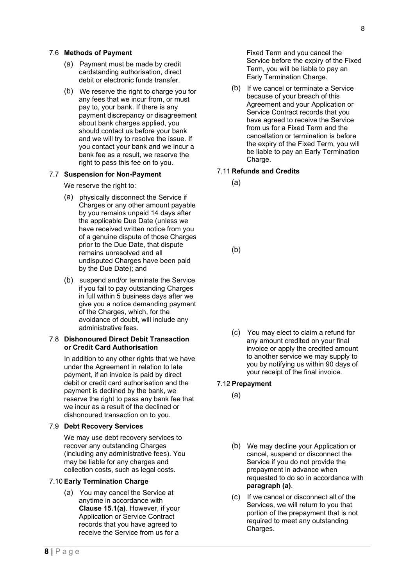- <span id="page-11-0"></span>(a) Payment must be made by credit cardstanding authorisation, direct debit or electronic funds transfer.
- We reserve the right to charge you for any fees that we incur from, or must pay to, your bank. If there is any payment discrepancy or disagreement about bank charges applied, you should contact us before your bank and we will try to resolve the issue. If you contact your bank and we incur a bank fee as a result, we reserve the right to pass this fee on to you.

# <span id="page-11-1"></span>7.7 **Suspension for Non-Payment**

We reserve the right to:

- (a) physically disconnect the Service if Charges or any other amount payable by you remains unpaid 14 days after the applicable Due Date (unless we have received written notice from you of a genuine dispute of those Charges prior to the Due Date, that dispute remains unresolved and all undisputed Charges have been paid by the Due Date); and
- (b) suspend and/or terminate the Service if you fail to pay outstanding Charges in full within 5 business days after we give you a notice demanding payment of the Charges, which, for the avoidance of doubt, will include any administrative fees.

#### <span id="page-11-2"></span>7.8 **Dishonoured Direct Debit Transaction or Credit Card Authorisation**

In addition to any other rights that we have under the Agreement in relation to late payment, if an invoice is paid by direct debit or credit card authorisation and the payment is declined by the bank, we reserve the right to pass any bank fee that we incur as a result of the declined or dishonoured transaction on to you.

# <span id="page-11-3"></span>7.9 **Debt Recovery Services**

We may use debt recovery services to recover any outstanding Charges (including any administrative fees). You may be liable for any charges and collection costs, such as legal costs.

# <span id="page-11-4"></span>7.10 **Early Termination Charge**

 You may cancel the Service at anytime in accordance with **Clause 15.1(a)**. However, if your Application or Service Contract records that you have agreed to receive the Service from us for a

Fixed Term and you cancel the Service before the expiry of the Fixed Term, you will be liable to pay an Early Termination Charge.

 $(b)$  If we cancel or terminate a Service because of your breach of this Agreement and your Application or Service Contract records that you have agreed to receive the Service from us for a Fixed Term and the cancellation or termination is before the expiry of the Fixed Term, you will be liable to pay an Early Termination Charge.

# <span id="page-11-5"></span>7.11 **Refunds and Credits**

 $(a)$ 

 $(b)$ 

 You may elect to claim a refund for any amount credited on your final invoice or apply the credited amount to another service we may supply to you by notifying us within 90 days of your receipt of the final invoice.

# <span id="page-11-6"></span>7.12 **Prepayment**

- $(a)$
- We may decline your Application or cancel, suspend or disconnect the Service if you do not provide the prepayment in advance when requested to do so in accordance with **paragraph (a)**.
- (c) If we cancel or disconnect all of the Services, we will return to you that portion of the prepayment that is not required to meet any outstanding Charges.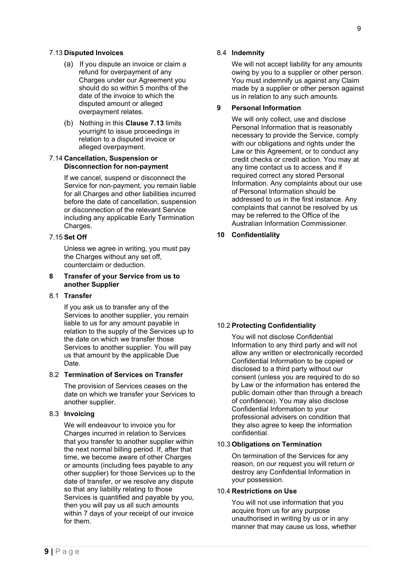# <span id="page-12-0"></span>7.13 **Disputed Invoices**

- (a) If you dispute an invoice or claim a refund for overpayment of any Charges under our Agreement you should do so within 5 months of the date of the invoice to which the disputed amount or alleged overpayment relates.
- Nothing in this **Clause 7.13** limits yourright to issue proceedings in relation to a disputed invoice or alleged overpayment.

# <span id="page-12-1"></span>7.14 **Cancellation, Suspension or Disconnection for non-payment**

If we cancel, suspend or disconnect the Service for non-payment, you remain liable for all Charges and other liabilities incurred before the date of cancellation, suspension or disconnection of the relevant Service including any applicable Early Termination Charges.

# <span id="page-12-2"></span>7.15 **Set Off**

Unless we agree in writing, you must pay the Charges without any set off, counterclaim or deduction.

# <span id="page-12-3"></span>**8 Transfer of your Service from us to another Supplier**

#### <span id="page-12-4"></span>8.1 **Transfer**

If you ask us to transfer any of the Services to another supplier, you remain liable to us for any amount payable in relation to the supply of the Services up to the date on which we transfer those Services to another supplier. You will pay us that amount by the applicable Due Date.

# <span id="page-12-5"></span>8.2 **Termination of Services on Transfer**

The provision of Services ceases on the date on which we transfer your Services to another supplier.

### <span id="page-12-6"></span>8.3 **Invoicing**

<span id="page-12-7"></span>We will endeavour to invoice you for Charges incurred in relation to Services that you transfer to another supplier within the next normal billing period. If, after that time, we become aware of other Charges or amounts (including fees payable to any other supplier) for those Services up to the date of transfer, or we resolve any dispute so that any liability relating to those Services is quantified and payable by you, then you will pay us all such amounts within 7 days of your receipt of our invoice for them.

# 8.4 **Indemnity**

We will not accept liability for any amounts owing by you to a supplier or other person. You must indemnify us against any Claim made by a supplier or other person against us in relation to any such amounts.

# <span id="page-12-8"></span>**9 Personal Information**

We will only collect, use and disclose Personal Information that is reasonably necessary to provide the Service, comply with our obligations and rights under the Law or this Agreement, or to conduct any credit checks or credit action. You may at any time contact us to access and if required correct any stored Personal Information. Any complaints about our use of Personal Information should be addressed to us in the first instance. Any complaints that cannot be resolved by us may be referred to the Office of the Australian Information Commissioner.

# <span id="page-12-10"></span><span id="page-12-9"></span>**10 Confidentiality**

# <span id="page-12-11"></span>10.2 **Protecting Confidentiality**

You will not disclose Confidential Information to any third party and will not allow any written or electronically recorded Confidential Information to be copied or disclosed to a third party without our consent (unless you are required to do so by Law or the information has entered the public domain other than through a breach of confidence). You may also disclose Confidential Information to your professional advisers on condition that they also agree to keep the information confidential.

## <span id="page-12-12"></span>10.3 **Obligations on Termination**

On termination of the Services for any reason, on our request you will return or destroy any Confidential Information in your possession.

# <span id="page-12-13"></span>10.4 **Restrictions on Use**

You will not use information that you acquire from us for any purpose unauthorised in writing by us or in any manner that may cause us loss, whether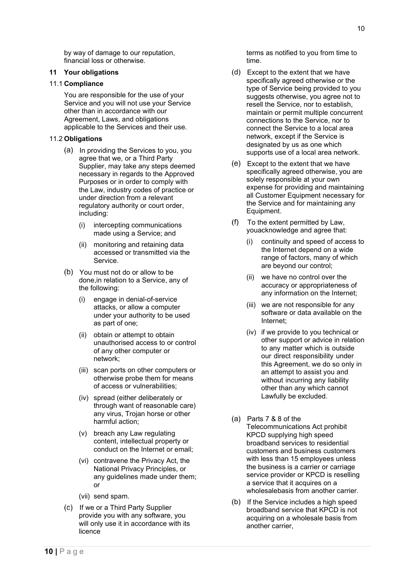by way of damage to our reputation, financial loss or otherwise.

# <span id="page-13-0"></span>**11 Your obligations**

#### <span id="page-13-1"></span>11.1 **Compliance**

You are responsible for the use of your Service and you will not use your Service other than in accordance with our Agreement, Laws, and obligations applicable to the Services and their use.

# <span id="page-13-2"></span>11.2 **Obligations**

- (a) In providing the Services to you, you agree that we, or a Third Party Supplier, may take any steps deemed necessary in regards to the Approved Purposes or in order to comply with the Law, industry codes of practice or under direction from a relevant regulatory authority or court order, including:
	- (i) intercepting communications made using a Service; and
	- (ii) monitoring and retaining data accessed or transmitted via the Service.
- You must not do or allow to be done,in relation to a Service, any of the following:
	- (i) engage in denial-of-service attacks, or allow a computer under your authority to be used as part of one;
	- (ii) obtain or attempt to obtain unauthorised access to or control of any other computer or network;
	- (iii) scan ports on other computers or otherwise probe them for means of access or vulnerabilities;
	- (iv) spread (either deliberately or through want of reasonable care) any virus, Trojan horse or other harmful action;
	- (v) breach any Law regulating content, intellectual property or conduct on the Internet or email;
	- (vi) contravene the Privacy Act, the National Privacy Principles, or any guidelines made under them; or
	- (vii) send spam.
- (c) If we or a Third Party Supplier provide you with any software, you will only use it in accordance with its licence

terms as notified to you from time to time.

- Except to the extent that we have specifically agreed otherwise or the type of Service being provided to you suggests otherwise, you agree not to resell the Service, nor to establish, maintain or permit multiple concurrent connections to the Service, nor to connect the Service to a local area network, except if the Service is designated by us as one which supports use of a local area network.
- (e) Except to the extent that we have specifically agreed otherwise, you are solely responsible at your own expense for providing and maintaining all Customer Equipment necessary for the Service and for maintaining any Equipment.
- $(f)$  To the extent permitted by Law, youacknowledge and agree that:
	- (i) continuity and speed of access to the Internet depend on a wide range of factors, many of which are beyond our control;
	- (ii) we have no control over the accuracy or appropriateness of any information on the Internet;
	- (iii) we are not responsible for any software or data available on the Internet;
	- (iv) if we provide to you technical or other support or advice in relation to any matter which is outside our direct responsibility under this Agreement, we do so only in an attempt to assist you and without incurring any liability other than any which cannot Lawfully be excluded.
- <span id="page-13-3"></span>(a) Parts 7 & 8 of the Telecommunications Act prohibit KPCD supplying high speed broadband services to residential customers and business customers with less than 15 employees unless the business is a carrier or carriage service provider or KPCD is reselling a service that it acquires on a wholesalebasis from another carrier.
- $(b)$  If the Service includes a high speed broadband service that KPCD is not acquiring on a wholesale basis from another carrier,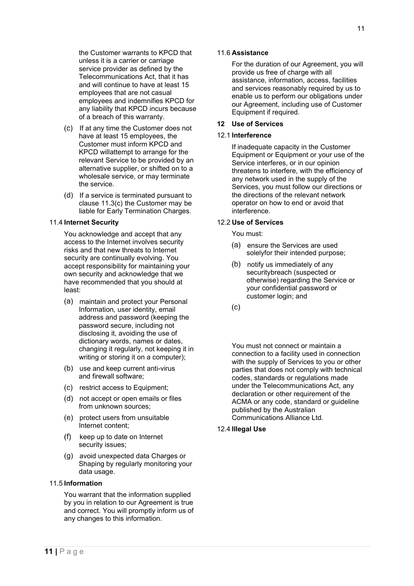the Customer warrants to KPCD that unless it is a carrier or carriage service provider as defined by the Telecommunications Act, that it has and will continue to have at least 15 employees that are not casual employees and indemnifies KPCD for any liability that KPCD incurs because of a breach of this warranty.

- (c) If at any time the Customer does not have at least 15 employees, the Customer must inform KPCD and KPCD willattempt to arrange for the relevant Service to be provided by an alternative supplier, or shifted on to a wholesale service, or may terminate the service.
- (d) If a service is terminated pursuant to clause 11.3(c) the Customer may be liable for Early Termination Charges.

# <span id="page-14-0"></span>11.4 **Internet Security**

You acknowledge and accept that any access to the Internet involves security risks and that new threats to Internet security are continually evolving. You accept responsibility for maintaining your own security and acknowledge that we have recommended that you should at least:

- maintain and protect your Personal Information, user identity, email address and password (keeping the password secure, including not disclosing it, avoiding the use of dictionary words, names or dates, changing it regularly, not keeping it in writing or storing it on a computer);
- (b) use and keep current anti-virus and firewall software;
- (c) restrict access to Equipment;
- not accept or open emails or files from unknown sources:
- (e) protect users from unsuitable Internet content;
- (f) keep up to date on Internet security issues;
- avoid unexpected data Charges or Shaping by regularly monitoring your data usage.

# <span id="page-14-1"></span>11.5 **Information**

<span id="page-14-2"></span>You warrant that the information supplied by you in relation to our Agreement is true and correct. You will promptly inform us of any changes to this information.

### 11.6 **Assistance**

For the duration of our Agreement, you will provide us free of charge with all assistance, information, access, facilities and services reasonably required by us to enable us to perform our obligations under our Agreement, including use of Customer Equipment if required.

# <span id="page-14-3"></span>**12 Use of Services**

#### <span id="page-14-4"></span>12.1 **Interference**

If inadequate capacity in the Customer Equipment or Equipment or your use of the Service interferes, or in our opinion threatens to interfere, with the efficiency of any network used in the supply of the Services, you must follow our directions or the directions of the relevant network operator on how to end or avoid that interference.

# <span id="page-14-5"></span>12.2 **Use of Services**

You must:

- (a) ensure the Services are used solelyfor their intended purpose;
- (b) notify us immediately of any securitybreach (suspected or otherwise) regarding the Service or your confidential password or customer login; and
- $(c)$

<span id="page-14-6"></span>You must not connect or maintain a connection to a facility used in connection with the supply of Services to you or other parties that does not comply with technical codes, standards or regulations made under the Telecommunications Act, any declaration or other requirement of the ACMA or any code, standard or guideline published by the Australian Communications Alliance Ltd.

### <span id="page-14-7"></span>12.4 **Illegal Use**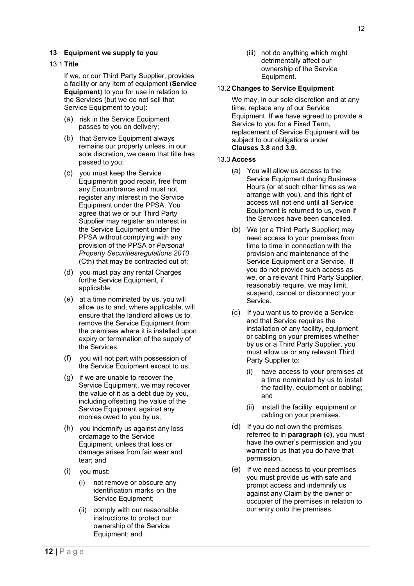### <span id="page-15-0"></span>**13 Equipment we supply to you**

#### <span id="page-15-1"></span>13.1 **Title**

If we, or our Third Party Supplier, provides a facility or any item of equipment (**Service Equipment**) to you for use in relation to the Services (but we do not sell that Service Equipment to you):

- (a) risk in the Service Equipment passes to you on delivery;
- (b) that Service Equipment always remains our property unless, in our sole discretion, we deem that title has passed to you;
- you must keep the Service Equipmentin good repair, free from any Encumbrance and must not register any interest in the Service Equipment under the PPSA. You agree that we or our Third Party Supplier may register an interest in the Service Equipment under the PPSA without complying with any provision of the PPSA or *Personal Property Securitiesregulations 2010*  (Cth) that may be contracted out of;
- (d) you must pay any rental Charges forthe Service Equipment, if applicable;
- $(e)$  at a time nominated by us, you will allow us to and, where applicable, will ensure that the landlord allows us to, remove the Service Equipment from the premises where it is installed upon expiry or termination of the supply of the Services;
- you will not part with possession of the Service Equipment except to us;
- $(g)$  if we are unable to recover the Service Equipment, we may recover the value of it as a debt due by you, including offsetting the value of the Service Equipment against any monies owed to you by us;
- (h) you indemnify us against any loss ordamage to the Service Equipment, unless that loss or damage arises from fair wear and tear; and
- you must:
	- (i) not remove or obscure any identification marks on the Service Equipment;
	- (ii) comply with our reasonable instructions to protect our ownership of the Service Equipment; and

(iii) not do anything which might detrimentally affect our ownership of the Service Equipment.

#### <span id="page-15-2"></span>13.2 **Changes to Service Equipment**

We may, in our sole discretion and at any time, replace any of our Service Equipment. If we have agreed to provide a Service to you for a Fixed Term, replacement of Service Equipment will be subject to our obligations under **Clauses 3.8** and **3.9.**

#### <span id="page-15-3"></span>13.3 **Access**

- You will allow us access to the Service Equipment during Business Hours (or at such other times as we arrange with you), and this right of access will not end until all Service Equipment is returned to us, even if the Services have been cancelled.
- We (or a Third Party Supplier) may need access to your premises from time to time in connection with the provision and maintenance of the Service Equipment or a Service. If you do not provide such access as we, or a relevant Third Party Supplier, reasonably require, we may limit, suspend, cancel or disconnect your Service.
- (c) If you want us to provide a Service and that Service requires the installation of any facility, equipment or cabling on your premises whether by us or a Third Party Supplier, you must allow us or any relevant Third Party Supplier to:
	- (i) have access to your premises at a time nominated by us to install the facility, equipment or cabling; and
	- (ii) install the facility, equipment or cabling on your premises.
- (d) If you do not own the premises referred to in **paragraph (c)**, you must have the owner's permission and you warrant to us that you do have that permission.
- (e) If we need access to your premises you must provide us with safe and prompt access and indemnify us against any Claim by the owner or occupier of the premises in relation to our entry onto the premises.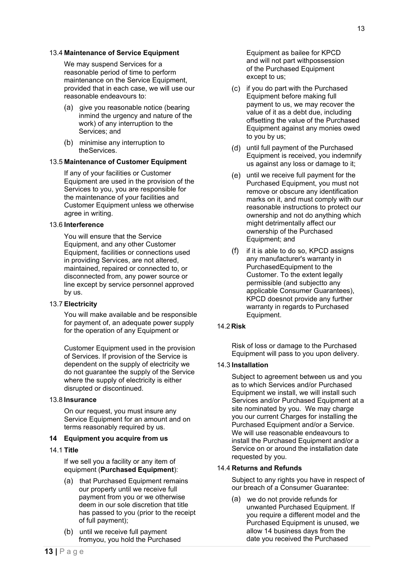#### <span id="page-16-0"></span>13.4 **Maintenance of Service Equipment**

We may suspend Services for a reasonable period of time to perform maintenance on the Service Equipment, provided that in each case, we will use our reasonable endeavours to:

- (a) give you reasonable notice (bearing inmind the urgency and nature of the work) of any interruption to the Services; and
- (b) minimise any interruption to theServices.

# <span id="page-16-1"></span>13.5 **Maintenance of Customer Equipment**

If any of your facilities or Customer Equipment are used in the provision of the Services to you, you are responsible for the maintenance of your facilities and Customer Equipment unless we otherwise agree in writing.

# <span id="page-16-2"></span>13.6 **Interference**

You will ensure that the Service Equipment, and any other Customer Equipment, facilities or connections used in providing Services, are not altered, maintained, repaired or connected to, or disconnected from, any power source or line except by service personnel approved by us.

#### <span id="page-16-3"></span>13.7 **Electricity**

You will make available and be responsible for payment of, an adequate power supply for the operation of any Equipment or

Customer Equipment used in the provision of Services. If provision of the Service is dependent on the supply of electricity we do not guarantee the supply of the Service where the supply of electricity is either disrupted or discontinued.

#### 13.8 **Insurance**

On our request, you must insure any Service Equipment for an amount and on terms reasonably required by us.

# <span id="page-16-4"></span>**14 Equipment you acquire from us**

<span id="page-16-5"></span>14.1 **Title**

If we sell you a facility or any item of equipment (**Purchased Equipment**):

- (a) that Purchased Equipment remains our property until we receive full payment from you or we otherwise deem in our sole discretion that title has passed to you (prior to the receipt of full payment);
- (b) until we receive full payment fromyou, you hold the Purchased

Equipment as bailee for KPCD and will not part withpossession of the Purchased Equipment except to us;

- (c) if you do part with the Purchased Equipment before making full payment to us, we may recover the value of it as a debt due, including offsetting the value of the Purchased Equipment against any monies owed to you by us;
- (d) until full payment of the Purchased Equipment is received, you indemnify us against any loss or damage to it;
- (e) until we receive full payment for the Purchased Equipment, you must not remove or obscure any identification marks on it, and must comply with our reasonable instructions to protect our ownership and not do anything which might detrimentally affect our ownership of the Purchased Equipment; and
- $(f)$  if it is able to do so, KPCD assigns any manufacturer's warranty in PurchasedEquipment to the Customer. To the extent legally permissible (and subjectto any applicable Consumer Guarantees), KPCD doesnot provide any further warranty in regards to Purchased Equipment.

#### 14.2 **Risk**

Risk of loss or damage to the Purchased Equipment will pass to you upon delivery.

# <span id="page-16-6"></span>14.3 **Installation**

Subject to agreement between us and you as to which Services and/or Purchased Equipment we install, we will install such Services and/or Purchased Equipment at a site nominated by you. We may charge you our current Charges for installing the Purchased Equipment and/or a Service. We will use reasonable endeavours to install the Purchased Equipment and/or a Service on or around the installation date requested by you.

#### <span id="page-16-7"></span>14.4 **Returns and Refunds**

Subject to any rights you have in respect of our breach of a Consumer Guarantee:

 we do not provide refunds for unwanted Purchased Equipment. If you require a different model and the Purchased Equipment is unused, we allow 14 business days from the date you received the Purchased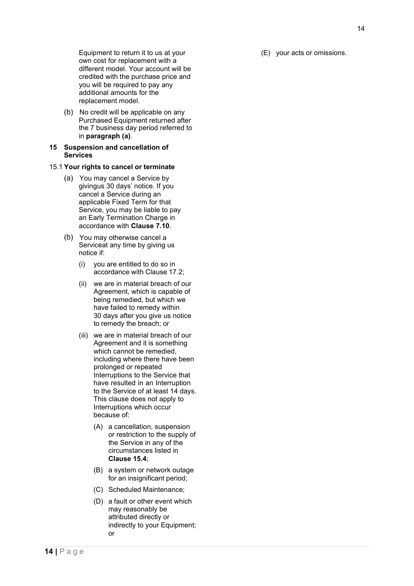Equipment to return it to us at your own cost for replacement with a different model. Your account will be credited with the purchase price and you will be required to pay any additional amounts for the replacement model.

(b) No credit will be applicable on any Purchased Equipment returned after the 7 business day period referred to in **paragraph (a)**.

#### <span id="page-17-0"></span>**15 Suspension and cancellation of Services**

# <span id="page-17-1"></span>15.1 **Your rights to cancel or terminate**

- You may cancel a Service by givingus 30 days' notice. If you cancel a Service during an applicable Fixed Term for that Service, you may be liable to pay an Early Termination Charge in accordance with **Clause 7.10**.
- (b) You may otherwise cancel a Serviceat any time by giving us notice if:
	- (i) you are entitled to do so in accordance with Clause 17.2;
	- (ii) we are in material breach of our Agreement, which is capable of being remedied, but which we have failed to remedy within 30 days after you give us notice to remedy the breach; or
	- (iii) we are in material breach of our Agreement and it is something which cannot be remedied, including where there have been prolonged or repeated Interruptions to the Service that have resulted in an Interruption to the Service of at least 14 days. This clause does not apply to Interruptions which occur because of:
		- (A) a cancellation, suspension or restriction to the supply of the Service in any of the circumstances listed in **Clause 15.4**;
		- (B) a system or network outage for an insignificant period;
		- (C) Scheduled Maintenance;
		- (D) a fault or other event which may reasonably be attributed directly or indirectly to your Equipment; or

(E) your acts or omissions.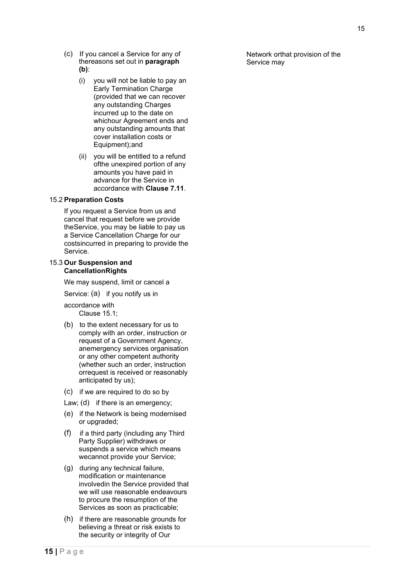- (c) If you cancel a Service for any of thereasons set out in **paragraph (b)**:
	- (i) you will not be liable to pay an Early Termination Charge (provided that we can recover any outstanding Charges incurred up to the date on whichour Agreement ends and any outstanding amounts that cover installation costs or Equipment);and
	- (ii) you will be entitled to a refund ofthe unexpired portion of any amounts you have paid in advance for the Service in accordance with **Clause 7.11**.

# <span id="page-18-0"></span>15.2 **Preparation Costs**

If you request a Service from us and cancel that request before we provide theService, you may be liable to pay us a Service Cancellation Charge for our costsincurred in preparing to provide the Service.

#### <span id="page-18-1"></span>15.3 **Our Suspension and CancellationRights**

We may suspend, limit or cancel a

Service:  $(a)$  if you notify us in

accordance with Clause 15.1;

- $(b)$  to the extent necessary for us to comply with an order, instruction or request of a Government Agency, anemergency services organisation or any other competent authority (whether such an order, instruction orrequest is received or reasonably anticipated by us);
- (c) if we are required to do so by
- Law;  $(d)$  if there is an emergency;
- $(e)$  if the Network is being modernised or upgraded;
- $(f)$  if a third party (including any Third Party Supplier) withdraws or suspends a service which means wecannot provide your Service;
- (g) during any technical failure, modification or maintenance involvedin the Service provided that we will use reasonable endeavours to procure the resumption of the Services as soon as practicable;
- $(h)$  if there are reasonable grounds for believing a threat or risk exists to the security or integrity of Our

Network orthat provision of the Service may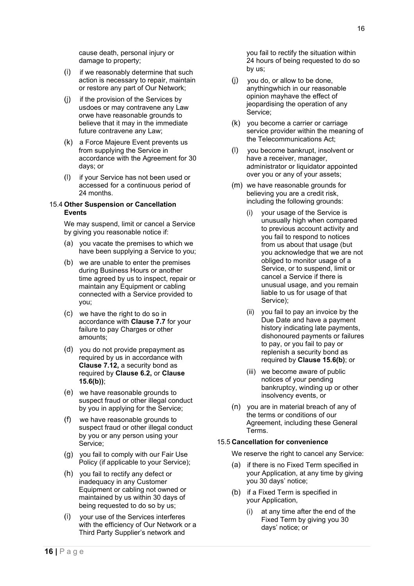cause death, personal injury or damage to property;

- (i) if we reasonably determine that such action is necessary to repair, maintain or restore any part of Our Network;
- $(i)$  if the provision of the Services by usdoes or may contravene any Law orwe have reasonable grounds to believe that it may in the immediate future contravene any Law;
- a Force Majeure Event prevents us from supplying the Service in accordance with the Agreement for 30 days; or
- (I) if your Service has not been used or accessed for a continuous period of 24 months.

# <span id="page-19-0"></span>15.4 **Other Suspension or Cancellation Events**

We may suspend, limit or cancel a Service by giving you reasonable notice if:

- (a) you vacate the premises to which we have been supplying a Service to you;
- (b) we are unable to enter the premises during Business Hours or another time agreed by us to inspect, repair or maintain any Equipment or cabling connected with a Service provided to you;
- we have the right to do so in accordance with **Clause 7.7** for your failure to pay Charges or other amounts;
- (d) you do not provide prepayment as required by us in accordance with **Clause 7.12,** a security bond as required by **Clause 6.2,** or **Clause 15.6(b))**;
- we have reasonable grounds to suspect fraud or other illegal conduct by you in applying for the Service;
- we have reasonable grounds to suspect fraud or other illegal conduct by you or any person using your Service;
- $(g)$  you fail to comply with our Fair Use Policy (if applicable to your Service);
- (h) you fail to rectify any defect or inadequacy in any Customer Equipment or cabling not owned or maintained by us within 30 days of being requested to do so by us;
- your use of the Services interferes with the efficiency of Our Network or a Third Party Supplier's network and

you fail to rectify the situation within 24 hours of being requested to do so by us;

- $(i)$  you do, or allow to be done, anythingwhich in our reasonable opinion mayhave the effect of jeopardising the operation of any Service;
- $(k)$  you become a carrier or carriage service provider within the meaning of the Telecommunications Act;
- (I) vou become bankrupt, insolvent or have a receiver, manager, administrator or liquidator appointed over you or any of your assets;
- $(m)$  we have reasonable grounds for believing you are a credit risk, including the following grounds:
	- your usage of the Service is unusually high when compared to previous account activity and you fail to respond to notices from us about that usage (but you acknowledge that we are not obliged to monitor usage of a Service, or to suspend, limit or cancel a Service if there is unusual usage, and you remain liable to us for usage of that Service);
	- (ii) you fail to pay an invoice by the Due Date and have a payment history indicating late payments, dishonoured payments or failures to pay, or you fail to pay or replenish a security bond as required by **Clause 15.6(b)**; or
	- (iii) we become aware of public notices of your pending bankruptcy, winding up or other insolvency events, or
- $(n)$  you are in material breach of any of the terms or conditions of our Agreement, including these General Terms.

# <span id="page-19-1"></span>15.5 **Cancellation for convenience**

We reserve the right to cancel any Service:

- (a) if there is no Fixed Term specified in your Application, at any time by giving you 30 days' notice;
- $(b)$  if a Fixed Term is specified in your Application,
	- (i) at any time after the end of the Fixed Term by giving you 30 days' notice; or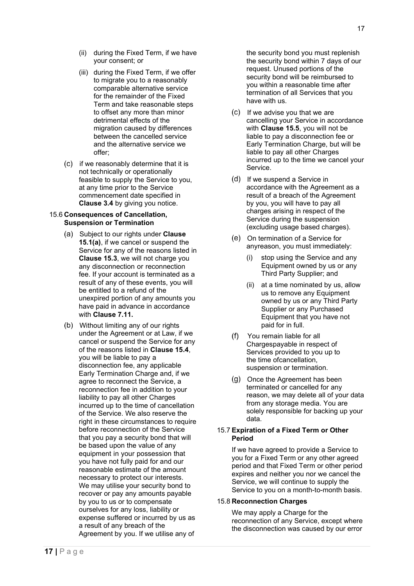- (ii) during the Fixed Term, if we have your consent; or
- (iii) during the Fixed Term, if we offer to migrate you to a reasonably comparable alternative service for the remainder of the Fixed Term and take reasonable steps to offset any more than minor detrimental effects of the migration caused by differences between the cancelled service and the alternative service we offer;
- $(c)$  if we reasonably determine that it is not technically or operationally feasible to supply the Service to you, at any time prior to the Service commencement date specified in **Clause 3.4** by giving you notice.

# <span id="page-20-0"></span>15.6 **Consequences of Cancellation, Suspension or Termination**

- Subject to our rights under **Clause 15.1(a)**, if we cancel or suspend the Service for any of the reasons listed in **Clause 15.3**, we will not charge you any disconnection or reconnection fee. If your account is terminated as a result of any of these events, you will be entitled to a refund of the unexpired portion of any amounts you have paid in advance in accordance with **Clause 7.11.**
- Without limiting any of our rights under the Agreement or at Law, if we cancel or suspend the Service for any of the reasons listed in **Clause 15.4**, you will be liable to pay a disconnection fee, any applicable Early Termination Charge and, if we agree to reconnect the Service, a reconnection fee in addition to your liability to pay all other Charges incurred up to the time of cancellation of the Service. We also reserve the right in these circumstances to require before reconnection of the Service that you pay a security bond that will be based upon the value of any equipment in your possession that you have not fully paid for and our reasonable estimate of the amount necessary to protect our interests. We may utilise your security bond to recover or pay any amounts payable by you to us or to compensate ourselves for any loss, liability or expense suffered or incurred by us as a result of any breach of the Agreement by you. If we utilise any of

the security bond you must replenish the security bond within 7 days of our request. Unused portions of the security bond will be reimbursed to you within a reasonable time after termination of all Services that you have with us.

- $(C)$  If we advise you that we are cancelling your Service in accordance with **Clause 15.5**, you will not be liable to pay a disconnection fee or Early Termination Charge, but will be liable to pay all other Charges incurred up to the time we cancel your Service.
- (d) If we suspend a Service in accordance with the Agreement as a result of a breach of the Agreement by you, you will have to pay all charges arising in respect of the Service during the suspension (excluding usage based charges).
- On termination of a Service for anyreason, you must immediately:
	- (i) stop using the Service and any Equipment owned by us or any Third Party Supplier; and
	- (ii) at a time nominated by us, allow us to remove any Equipment owned by us or any Third Party Supplier or any Purchased Equipment that you have not paid for in full.
- You remain liable for all Chargespayable in respect of Services provided to you up to the time ofcancellation, suspension or termination.
- (g) Once the Agreement has been terminated or cancelled for any reason, we may delete all of your data from any storage media. You are solely responsible for backing up your data.

# <span id="page-20-1"></span>15.7 **Expiration of a Fixed Term or Other Period**

If we have agreed to provide a Service to you for a Fixed Term or any other agreed period and that Fixed Term or other period expires and neither you nor we cancel the Service, we will continue to supply the Service to you on a month-to-month basis.

# <span id="page-20-2"></span>15.8 **Reconnection Charges**

We may apply a Charge for the reconnection of any Service, except where the disconnection was caused by our error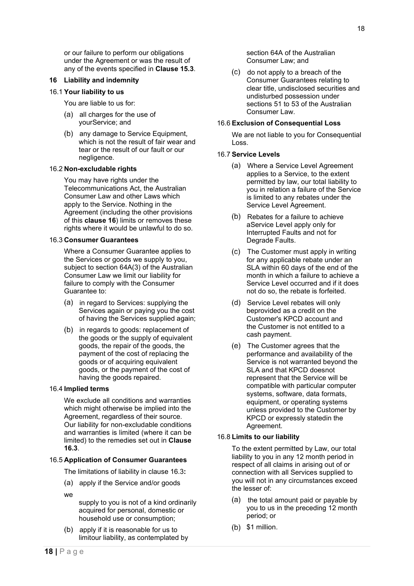or our failure to perform our obligations under the Agreement or was the result of any of the events specified in **Clause 15.3**.

#### <span id="page-21-0"></span>**16 Liability and indemnity**

#### <span id="page-21-1"></span>16.1 **Your liability to us**

You are liable to us for:

- all charges for the use of yourService; and
- (b) any damage to Service Equipment, which is not the result of fair wear and tear or the result of our fault or our negligence.

#### <span id="page-21-2"></span>16.2 **Non-excludable rights**

You may have rights under the Telecommunications Act, the Australian Consumer Law and other Laws which apply to the Service. Nothing in the Agreement (including the other provisions of this **clause 16**) limits or removes these rights where it would be unlawful to do so.

#### <span id="page-21-3"></span>16.3 **Consumer Guarantees**

Where a Consumer Guarantee applies to the Services or goods we supply to you, subject to section 64A(3) of the Australian Consumer Law we limit our liability for failure to comply with the Consumer Guarantee to:

- (a) in regard to Services: supplying the Services again or paying you the cost of having the Services supplied again;
- (b) in regards to goods: replacement of the goods or the supply of equivalent goods, the repair of the goods, the payment of the cost of replacing the goods or of acquiring equivalent goods, or the payment of the cost of having the goods repaired.

#### <span id="page-21-4"></span>16.4 **Implied terms**

We exclude all conditions and warranties which might otherwise be implied into the Agreement, regardless of their source. Our liability for non-excludable conditions and warranties is limited (where it can be limited) to the remedies set out in **Clause 16.3**.

# 16.5 **Application of Consumer Guarantees**

The limitations of liability in clause 16.3**:** 

- (a) apply if the Service and/or goods
- we
- supply to you is not of a kind ordinarily acquired for personal, domestic or household use or consumption;
- $(b)$  apply if it is reasonable for us to limitour liability, as contemplated by

section 64A of the Australian Consumer Law; and

 $(c)$  do not apply to a breach of the Consumer Guarantees relating to clear title, undisclosed securities and undisturbed possession under sections 51 to 53 of the Australian Consumer Law.

# <span id="page-21-5"></span>16.6 **Exclusion of Consequential Loss**

We are not liable to you for Consequential Loss.

#### <span id="page-21-6"></span>16.7 **Service Levels**

- Where a Service Level Agreement applies to a Service, to the extent permitted by law, our total liability to you in relation a failure of the Service is limited to any rebates under the Service Level Agreement.
- (b) Rebates for a failure to achieve a Service Level apply only for Interrupted Faults and not for Degrade Faults.
- The Customer must apply in writing for any applicable rebate under an SLA within 60 days of the end of the month in which a failure to achieve a Service Level occurred and if it does not do so, the rebate is forfeited.
- (d) Service Level rebates will only beprovided as a credit on the Customer's KPCD account and the Customer is not entitled to a cash payment.
- (e) The Customer agrees that the performance and availability of the Service is not warranted beyond the SLA and that KPCD doesnot represent that the Service will be compatible with particular computer systems, software, data formats, equipment, or operating systems unless provided to the Customer by KPCD or expressly statedin the Agreement.

#### <span id="page-21-7"></span>16.8 **Limits to our liability**

To the extent permitted by Law, our total liability to you in any 12 month period in respect of all claims in arising out of or connection with all Services supplied to you will not in any circumstances exceed the lesser of:

- $(a)$  the total amount paid or payable by you to us in the preceding 12 month period; or
- $(b)$  \$1 million.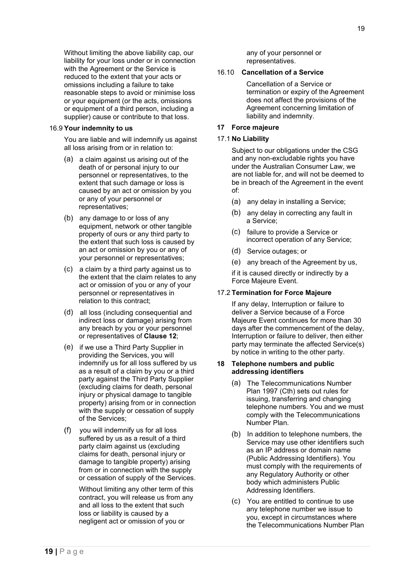Without limiting the above liability cap, our liability for your loss under or in connection with the Agreement or the Service is reduced to the extent that your acts or omissions including a failure to take reasonable steps to avoid or minimise loss or your equipment (or the acts, omissions or equipment of a third person, including a supplier) cause or contribute to that loss.

#### <span id="page-22-0"></span>16.9 **Your indemnity to us**

You are liable and will indemnify us against all loss arising from or in relation to:

- (a) a claim against us arising out of the death of or personal injury to our personnel or representatives, to the extent that such damage or loss is caused by an act or omission by you or any of your personnel or representatives;
- (b) any damage to or loss of any equipment, network or other tangible property of ours or any third party to the extent that such loss is caused by an act or omission by you or any of your personnel or representatives;
- a claim by a third party against us to the extent that the claim relates to any act or omission of you or any of your personnel or representatives in relation to this contract;
- all loss (including consequential and indirect loss or damage) arising from any breach by you or your personnel or representatives of **Clause 12**;
- (e) if we use a Third Party Supplier in providing the Services, you will indemnify us for all loss suffered by us as a result of a claim by you or a third party against the Third Party Supplier (excluding claims for death, personal injury or physical damage to tangible property) arising from or in connection with the supply or cessation of supply of the Services;
- you will indemnify us for all loss suffered by us as a result of a third party claim against us (excluding claims for death, personal injury or damage to tangible property) arising from or in connection with the supply or cessation of supply of the Services.

Without limiting any other term of this contract, you will release us from any and all loss to the extent that such loss or liability is caused by a negligent act or omission of you or

any of your personnel or representatives.

## <span id="page-22-1"></span>16.10 **Cancellation of a Service**

Cancellation of a Service or termination or expiry of the Agreement does not affect the provisions of the Agreement concerning limitation of liability and indemnity.

# <span id="page-22-2"></span>**17 Force majeure**

## <span id="page-22-3"></span>17.1 **No Liability**

Subject to our obligations under the CSG and any non-excludable rights you have under the Australian Consumer Law, we are not liable for, and will not be deemed to be in breach of the Agreement in the event of:

- (a) any delay in installing a Service;
- (b) any delay in correcting any fault in a Service;
- (c) failure to provide a Service or incorrect operation of any Service;
- (d) Service outages; or
- any breach of the Agreement by us,

if it is caused directly or indirectly by a Force Majeure Event.

#### <span id="page-22-4"></span>17.2 **Termination for Force Majeure**

If any delay, Interruption or failure to deliver a Service because of a Force Majeure Event continues for more than 30 days after the commencement of the delay, Interruption or failure to deliver, then either party may terminate the affected Service(s) by notice in writing to the other party.

#### <span id="page-22-5"></span>**18 Telephone numbers and public addressing identifiers**

- (a) The Telecommunications Number Plan 1997 (Cth) sets out rules for issuing, transferring and changing telephone numbers. You and we must comply with the Telecommunications Number Plan.
- $(b)$  In addition to telephone numbers, the Service may use other identifiers such as an IP address or domain name (Public Addressing Identifiers). You must comply with the requirements of any Regulatory Authority or other body which administers Public Addressing Identifiers.
- You are entitled to continue to use any telephone number we issue to you, except in circumstances where the Telecommunications Number Plan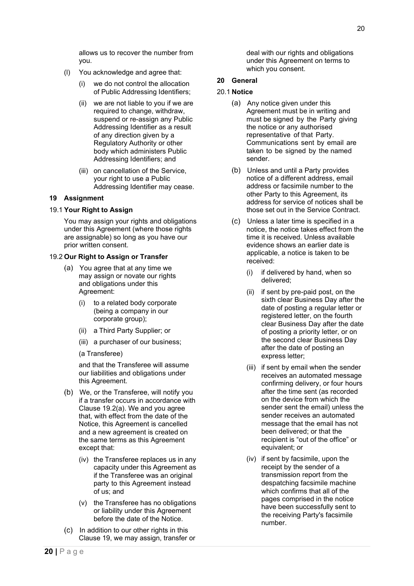allows us to recover the number from you.

- (l) You acknowledge and agree that:
	- (i) we do not control the allocation of Public Addressing Identifiers;
	- (ii) we are not liable to you if we are required to change, withdraw, suspend or re-assign any Public Addressing Identifier as a result of any direction given by a Regulatory Authority or other body which administers Public Addressing Identifiers; and
	- (iii) on cancellation of the Service, your right to use a Public Addressing Identifier may cease.

# <span id="page-23-0"></span>**19 Assignment**

# <span id="page-23-1"></span>19.1 **Your Right to Assign**

You may assign your rights and obligations under this Agreement (where those rights are assignable) so long as you have our prior written consent.

# <span id="page-23-2"></span>19.2 **Our Right to Assign or Transfer**

- You agree that at any time we may assign or novate our rights and obligations under this Agreement:
	- (i) to a related body corporate (being a company in our corporate group);
	- (ii) a Third Party Supplier; or
	- (iii) a purchaser of our business;
	- (a Transferee)

and that the Transferee will assume our liabilities and obligations under this Agreement.

- We, or the Transferee, will notify you if a transfer occurs in accordance with Clause 19.2(a). We and you agree that, with effect from the date of the Notice, this Agreement is cancelled and a new agreement is created on the same terms as this Agreement except that:
	- (iv) the Transferee replaces us in any capacity under this Agreement as if the Transferee was an original party to this Agreement instead of us; and
	- (v) the Transferee has no obligations or liability under this Agreement before the date of the Notice.
- $(C)$  In addition to our other rights in this Clause 19, we may assign, transfer or

deal with our rights and obligations under this Agreement on terms to which you consent.

# <span id="page-23-3"></span>**20 General**

# <span id="page-23-4"></span>20.1 **Notice**

- (a) Any notice given under this Agreement must be in writing and must be signed by the Party giving the notice or any authorised representative of that Party. Communications sent by email are taken to be signed by the named sender.
- (b) Unless and until a Party provides notice of a different address, email address or facsimile number to the other Party to this Agreement, its address for service of notices shall be those set out in the Service Contract.
- Unless a later time is specified in a notice, the notice takes effect from the time it is received. Unless available evidence shows an earlier date is applicable, a notice is taken to be received:
	- (i) if delivered by hand, when so delivered;
	- (ii) if sent by pre-paid post, on the sixth clear Business Day after the date of posting a regular letter or registered letter, on the fourth clear Business Day after the date of posting a priority letter, or on the second clear Business Day after the date of posting an express letter;
	- (iii) if sent by email when the sender receives an automated message confirming delivery, or four hours after the time sent (as recorded on the device from which the sender sent the email) unless the sender receives an automated message that the email has not been delivered; or that the recipient is "out of the office" or equivalent; or
	- (iv) if sent by facsimile, upon the receipt by the sender of a transmission report from the despatching facsimile machine which confirms that all of the pages comprised in the notice have been successfully sent to the receiving Party's facsimile number.